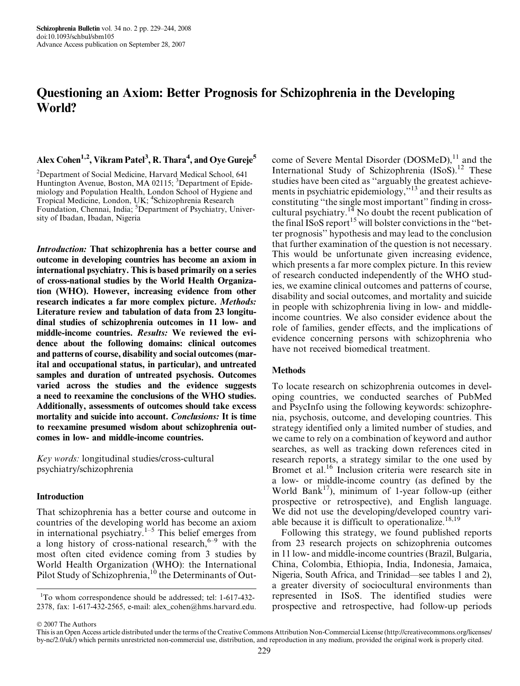# Questioning an Axiom: Better Prognosis for Schizophrenia in the Developing World?

## Alex Cohen<sup>1,2</sup>, Vikram Patel<sup>3</sup>, R. Thara<sup>4</sup>, and Oye Gureje<sup>5</sup>

<sup>2</sup>Department of Social Medicine, Harvard Medical School, 641 Huntington Avenue, Boston, MA 02115; <sup>3</sup>Department of Epidemiology and Population Health, London School of Hygiene and Tropical Medicine, London, UK; <sup>4</sup>Schizophrenia Research Foundation, Chennai, India; <sup>5</sup>Department of Psychiatry, University of Ibadan, Ibadan, Nigeria

Introduction: That schizophrenia has a better course and outcome in developing countries has become an axiom in international psychiatry. This is based primarily on a series of cross-national studies by the World Health Organization (WHO). However, increasing evidence from other research indicates a far more complex picture. Methods: Literature review and tabulation of data from 23 longitudinal studies of schizophrenia outcomes in 11 low- and middle-income countries. Results: We reviewed the evidence about the following domains: clinical outcomes and patterns of course, disability and social outcomes (marital and occupational status, in particular), and untreated samples and duration of untreated psychosis. Outcomes varied across the studies and the evidence suggests a need to reexamine the conclusions of the WHO studies. Additionally, assessments of outcomes should take excess mortality and suicide into account. Conclusions: It is time to reexamine presumed wisdom about schizophrenia outcomes in low- and middle-income countries.

Key words: longitudinal studies/cross-cultural psychiatry/schizophrenia

#### Introduction

That schizophrenia has a better course and outcome in countries of the developing world has become an axiom in international psychiatry.<sup>1–5</sup> This belief emerges from a long history of cross-national research,  $6-9$  with the most often cited evidence coming from 3 studies by World Health Organization (WHO): the International Pilot Study of Schizophrenia,<sup>10</sup> the Determinants of Out-

<sup>1</sup>To whom correspondence should be addressed; tel: 1-617-432-2378, fax: 1-617-432-2565, e-mail: alex\_cohen@hms.harvard.edu.

come of Severe Mental Disorder (DOSMeD),<sup>11</sup> and the International Study of Schizophrenia  $(ISOS)^{12}$  These studies have been cited as ''arguably the greatest achievements in psychiatric epidemiology,''<sup>13</sup> and their results as constituting ''the single most important'' finding in crosscultural psychiatry.<sup>14</sup> No doubt the recent publication of the final ISoS report<sup>15</sup> will bolster convictions in the "better prognosis'' hypothesis and may lead to the conclusion that further examination of the question is not necessary. This would be unfortunate given increasing evidence, which presents a far more complex picture. In this review of research conducted independently of the WHO studies, we examine clinical outcomes and patterns of course, disability and social outcomes, and mortality and suicide in people with schizophrenia living in low- and middleincome countries. We also consider evidence about the role of families, gender effects, and the implications of evidence concerning persons with schizophrenia who have not received biomedical treatment.

## **Methods**

To locate research on schizophrenia outcomes in developing countries, we conducted searches of PubMed and PsycInfo using the following keywords: schizophrenia, psychosis, outcome, and developing countries. This strategy identified only a limited number of studies, and we came to rely on a combination of keyword and author searches, as well as tracking down references cited in research reports, a strategy similar to the one used by Bromet et al.<sup>16</sup> Inclusion criteria were research site in a low- or middle-income country (as defined by the World Bank<sup>17</sup>), minimum of 1-year follow-up (either prospective or retrospective), and English language. We did not use the developing/developed country variable because it is difficult to operationalize.<sup>18,19</sup>

Following this strategy, we found published reports from 23 research projects on schizophrenia outcomes in 11 low- and middle-income countries (Brazil, Bulgaria, China, Colombia, Ethiopia, India, Indonesia, Jamaica, Nigeria, South Africa, and Trinidad—see tables 1 and 2), a greater diversity of sociocultural environments than represented in ISoS. The identified studies were prospective and retrospective, had follow-up periods

2007 The Authors

This is an Open Access article distributed under the terms of the Creative Commons Attribution Non-Commercial License ([http://creativecommons.org/licenses/](http://creativecommons.org/licenses/by-nc/2.0/uk/) [by-nc/2.0/uk/\)](http://creativecommons.org/licenses/by-nc/2.0/uk/) which permits unrestricted non-commercial use, distribution, and reproduction in any medium, provided the original work is properly cited.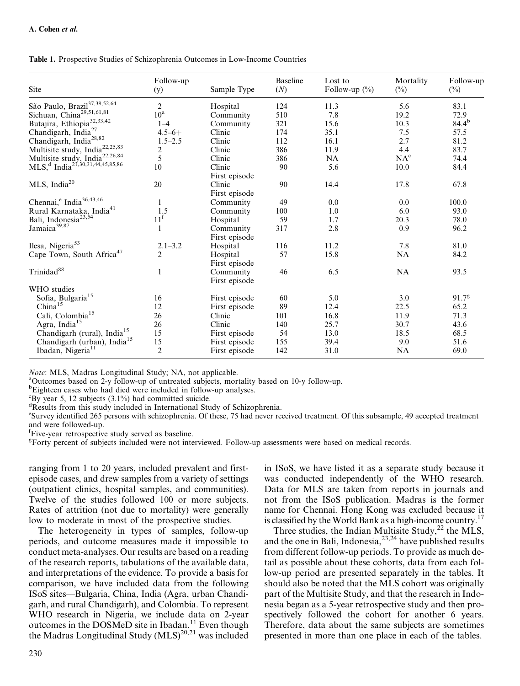| Site                                                                                                  | Follow-up<br>(y) | Sample Type   | <b>Baseline</b><br>(N) | Lost to<br>Follow-up $(\%)$ | Mortality<br>$(\%)$ | Follow-up<br>$(\%)$ |
|-------------------------------------------------------------------------------------------------------|------------------|---------------|------------------------|-----------------------------|---------------------|---------------------|
|                                                                                                       |                  |               |                        |                             |                     |                     |
| São Paulo, Brazil<br>37,38,52,64                                                                      | $\overline{2}$   | Hospital      | 124                    | 11.3                        | 5.6                 | 83.1                |
| Sichuan, China <sup>29,51,61,81</sup>                                                                 | $10^{\rm a}$     | Community     | 510                    | 7.8                         | 19.2                | 72.9                |
| Butajira, Ethiopia <sup>32,33,42</sup>                                                                | $1 - 4$          | Community     | 321                    | 15.6                        | 10.3                | $84.4^{b}$          |
| Chandigarh, India <sup>27</sup>                                                                       | $4.5 - 6 +$      | Clinic        | 174                    | 35.1                        | 7.5                 | 57.5                |
| Chandigarh, India <sup>28,82</sup>                                                                    | $1.5 - 2.5$      | Clinic        | 112                    | 16.1                        | 2.7                 | 81.2                |
| Multisite study, India <sup>22,25,83</sup>                                                            | $rac{2}{5}$      | Clinic        | 386                    | 11.9                        | 4.4                 | 83.7                |
|                                                                                                       |                  | Clinic        | 386                    | NA                          | NA <sup>c</sup>     | 74.4                |
| Multisite study, India <sup>22,26,84</sup><br>MLS, <sup>d</sup> India <sup>21,30,31,44,45,85,86</sup> | 10               | Clinic        | 90                     | 5.6                         | 10.0                | 84.4                |
|                                                                                                       |                  | First episode |                        |                             |                     |                     |
| MLS, India <sup>20</sup>                                                                              | 20               | Clinic        | 90                     | 14.4                        | 17.8                | 67.8                |
|                                                                                                       |                  | First episode |                        |                             |                     |                     |
| Chennai, <sup>e</sup> India <sup>36,43,46</sup>                                                       | 1                | Community     | 49                     | 0.0                         | 0.0                 | 100.0               |
| Rural Karnataka, India <sup>41</sup>                                                                  | 1.5              | Community     | 100                    | 1.0                         | 6.0                 | 93.0                |
| Bali, Indonesia <sup>23,54</sup>                                                                      | 11 <sup>f</sup>  | Hospital      | 59                     | 1.7                         | 20.3                | 78.0                |
| Jamaica <sup>39,87</sup>                                                                              |                  | Community     | 317                    | 2.8                         | 0.9                 | 96.2                |
|                                                                                                       |                  | First episode |                        |                             |                     |                     |
| Ilesa, Nigeria <sup>53</sup>                                                                          | $2.1 - 3.2$      | Hospital      | 116                    | 11.2                        | 7.8                 | 81.0                |
| Cape Town, South Africa <sup>47</sup>                                                                 | $\overline{2}$   | Hospital      | 57                     | 15.8                        | NA                  | 84.2                |
|                                                                                                       |                  | First episode |                        |                             |                     |                     |
| Trinidad <sup>88</sup>                                                                                |                  | Community     | 46                     | 6.5                         | <b>NA</b>           | 93.5                |
|                                                                                                       |                  | First episode |                        |                             |                     |                     |
| WHO studies                                                                                           |                  |               |                        |                             |                     |                     |
| Sofia, Bulgaria <sup>15</sup>                                                                         | 16               | First episode | 60                     | 5.0                         | 3.0                 | 91.7 <sup>g</sup>   |
| China <sup>15</sup>                                                                                   | 12               | First episode | 89                     | 12.4                        | 22.5                | 65.2                |
| Cali, Colombia <sup>15</sup>                                                                          | 26               | Clinic        | 101                    | 16.8                        | 11.9                | 71.3                |
| Agra, India <sup>15</sup>                                                                             | 26               | Clinic        | 140                    | 25.7                        | 30.7                | 43.6                |
| Chandigarh (rural), India <sup>15</sup>                                                               | 15               | First episode | 54                     | 13.0                        | 18.5                | 68.5                |
| Chandigarh (urban), India <sup>15</sup>                                                               | 15               | First episode | 155                    | 39.4                        | 9.0                 | 51.6                |
| Ibadan, Nigeria <sup>11</sup>                                                                         | $\overline{2}$   | First episode | 142                    | 31.0                        | NA                  | 69.0                |
|                                                                                                       |                  |               |                        |                             |                     |                     |

Table 1. Prospective Studies of Schizophrenia Outcomes in Low-Income Countries

Note: MLS, Madras Longitudinal Study; NA, not applicable.

<sup>a</sup>Outcomes based on 2-y follow-up of untreated subjects, mortality based on 10-y follow-up.

<sup>b</sup>Eighteen cases who had died were included in follow-up analyses.

 ${}^{\rm c}$ By year 5, 12 subjects (3.1%) had committed suicide.

<sup>d</sup>Results from this study included in International Study of Schizophrenia.

<sup>e</sup>Survey identified 265 persons with schizophrenia. Of these, 75 had never received treatment. Of this subsample, 49 accepted treatment and were followed-up.

f Five-year retrospective study served as baseline.

<sup>g</sup>Forty percent of subjects included were not interviewed. Follow-up assessments were based on medical records.

ranging from 1 to 20 years, included prevalent and firstepisode cases, and drew samples from a variety of settings (outpatient clinics, hospital samples, and communities). Twelve of the studies followed 100 or more subjects. Rates of attrition (not due to mortality) were generally low to moderate in most of the prospective studies.

The heterogeneity in types of samples, follow-up periods, and outcome measures made it impossible to conduct meta-analyses. Our results are based on a reading of the research reports, tabulations of the available data, and interpretations of the evidence. To provide a basis for comparison, we have included data from the following ISoS sites—Bulgaria, China, India (Agra, urban Chandigarh, and rural Chandigarh), and Colombia. To represent WHO research in Nigeria, we include data on 2-year outcomes in the DOSMeD site in Ibadan.<sup>11</sup> Even though the Madras Longitudinal Study  $(MLS)^{20,21}$  was included

in ISoS, we have listed it as a separate study because it was conducted independently of the WHO research. Data for MLS are taken from reports in journals and not from the ISoS publication. Madras is the former name for Chennai. Hong Kong was excluded because it is classified by the World Bank as a high-income country.<sup>17</sup>

Three studies, the Indian Multisite Study, $^{22}$  the MLS, and the one in Bali, Indonesia,  $2^{3,24}$  have published results from different follow-up periods. To provide as much detail as possible about these cohorts, data from each follow-up period are presented separately in the tables. It should also be noted that the MLS cohort was originally part of the Multisite Study, and that the research in Indonesia began as a 5-year retrospective study and then prospectively followed the cohort for another 6 years. Therefore, data about the same subjects are sometimes presented in more than one place in each of the tables.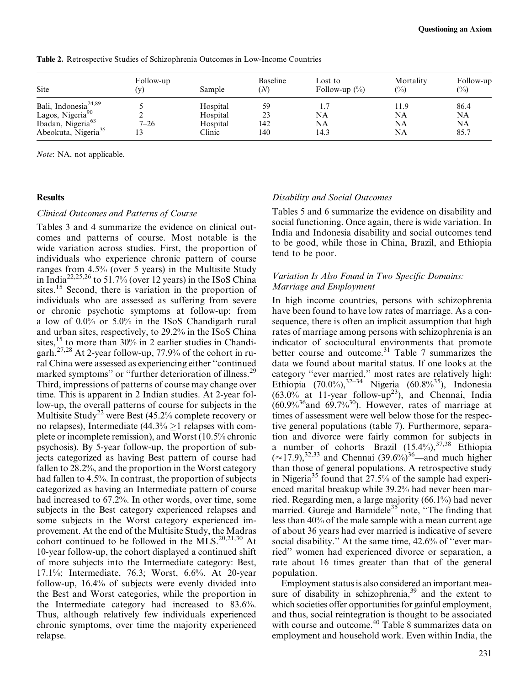| Site                             | Follow-up<br>(v) | Sample   | Baseline<br>(N) | Lost to<br>Follow-up $(\%)$ | Mortality<br>$\binom{0}{0}$ | Follow-up<br>$\binom{0}{0}$ |
|----------------------------------|------------------|----------|-----------------|-----------------------------|-----------------------------|-----------------------------|
| Bali, Indonesia <sup>24,89</sup> |                  | Hospital | 59              |                             | 11.9                        | 86.4                        |
| Lagos, Nigeria <sup>90</sup>     |                  | Hospital | 23              | NA                          | NA                          | NA                          |
| Ibadan, Nigeria <sup>63</sup>    | $7 - 26$         | Hospital | 142             | NA                          | NA                          | <b>NA</b>                   |
| Abeokuta, Nigeria <sup>35</sup>  |                  | Clinic   | 140             | 14.3                        | NA                          | 85.7                        |

Table 2. Retrospective Studies of Schizophrenia Outcomes in Low-Income Countries

Note: NA, not applicable.

## **Results**

#### Clinical Outcomes and Patterns of Course

Tables 3 and 4 summarize the evidence on clinical outcomes and patterns of course. Most notable is the wide variation across studies. First, the proportion of individuals who experience chronic pattern of course ranges from 4.5% (over 5 years) in the Multisite Study in India22,25,26 to 51.7% (over 12 years) in the ISoS China sites.<sup>15</sup> Second, there is variation in the proportion of individuals who are assessed as suffering from severe or chronic psychotic symptoms at follow-up: from a low of 0.0% or 5.0% in the ISoS Chandigarh rural and urban sites, respectively, to 29.2% in the ISoS China sites,  $15$  to more than 30% in 2 earlier studies in Chandigarh.27,28 At 2-year follow-up, 77.9% of the cohort in rural China were assessed as experiencing either ''continued marked symptoms" or "further deterioration of illness.<sup>29</sup> Third, impressions of patterns of course may change over time. This is apparent in 2 Indian studies. At 2-year follow-up, the overall patterns of course for subjects in the Multisite Study<sup>22</sup> were Best  $(45.2%$  complete recovery or no relapses), Intermediate (44.3%  $\geq$  1 relapses with complete or incomplete remission), and Worst (10.5% chronic psychosis). By 5-year follow-up, the proportion of subjects categorized as having Best pattern of course had fallen to 28.2%, and the proportion in the Worst category had fallen to 4.5%. In contrast, the proportion of subjects categorized as having an Intermediate pattern of course had increased to 67.2%. In other words, over time, some subjects in the Best category experienced relapses and some subjects in the Worst category experienced improvement. At the end of the Multisite Study, the Madras cohort continued to be followed in the MLS.<sup>20,21,30</sup> At 10-year follow-up, the cohort displayed a continued shift of more subjects into the Intermediate category: Best, 17.1%; Intermediate, 76.3; Worst, 6.6%. At 20-year follow-up, 16.4% of subjects were evenly divided into the Best and Worst categories, while the proportion in the Intermediate category had increased to 83.6%. Thus, although relatively few individuals experienced chronic symptoms, over time the majority experienced relapse.

## Disability and Social Outcomes

Tables 5 and 6 summarize the evidence on disability and social functioning. Once again, there is wide variation. In India and Indonesia disability and social outcomes tend to be good, while those in China, Brazil, and Ethiopia tend to be poor.

## Variation Is Also Found in Two Specific Domains: Marriage and Employment

In high income countries, persons with schizophrenia have been found to have low rates of marriage. As a consequence, there is often an implicit assumption that high rates of marriage among persons with schizophrenia is an indicator of sociocultural environments that promote better course and outcome. $31$  Table 7 summarizes the data we found about marital status. If one looks at the category ''ever married,'' most rates are relatively high: Ethiopia (70.0%),  $32-34$  Nigeria (60.8% $35$ ), Indonesia  $(63.0\%$  at 11-year follow-up<sup>23</sup>), and Chennai, India  $(60.9\%^{36})$ and  $(69.7\%^{30})$ . However, rates of marriage at times of assessment were well below those for the respective general populations (table 7). Furthermore, separation and divorce were fairly common for subjects in a number of cohorts—Brazil  $(15.4\%)$ ,<sup>37,38</sup> Ethiopia  $(*17.9)$ ,<sup>32,33</sup> and Chennai (39.6%)<sup>36</sup>—and much higher than those of general populations. A retrospective study in Nigeria<sup>35</sup> found that  $27.5\%$  of the sample had experienced marital breakup while 39.2% had never been married. Regarding men, a large majority (66.1%) had never married. Gureje and Bamidele<sup>35</sup> note, "The finding that less than 40% of the male sample with a mean current age of about 36 years had ever married is indicative of severe social disability.'' At the same time, 42.6% of ''ever married'' women had experienced divorce or separation, a rate about 16 times greater than that of the general population.

Employment status is also considered an important measure of disability in schizophrenia,<sup>39</sup> and the extent to which societies offer opportunities for gainful employment, and thus, social reintegration is thought to be associated with course and outcome.<sup>40</sup> Table 8 summarizes data on employment and household work. Even within India, the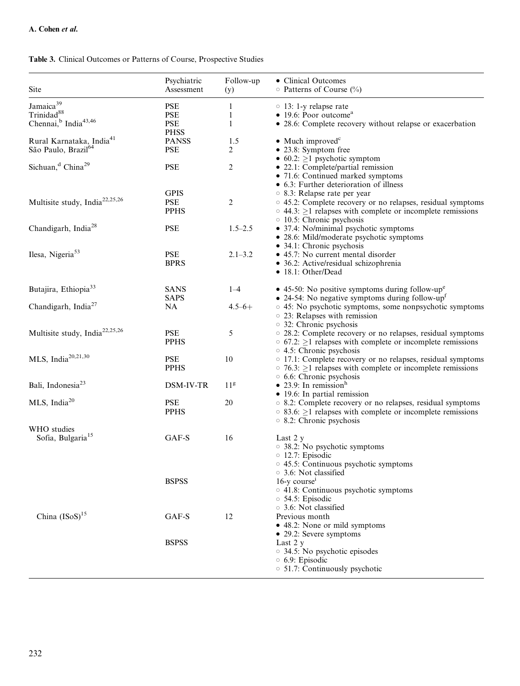| Site                                                                                            | Psychiatric<br>Assessment                             | Follow-up<br>(y) | • Clinical Outcomes<br>$\circ$ Patterns of Course (%)                                                                                                                                                    |
|-------------------------------------------------------------------------------------------------|-------------------------------------------------------|------------------|----------------------------------------------------------------------------------------------------------------------------------------------------------------------------------------------------------|
| Jamaica <sup>39</sup><br>Trinidad <sup>88</sup><br>Chennai, <sup>b</sup> India <sup>43,46</sup> | <b>PSE</b><br><b>PSE</b><br><b>PSE</b><br><b>PHSS</b> | 1<br>1<br>1      | $\circ$ 13: 1-y relapse rate<br>$\bullet$ 19.6: Poor outcome <sup>a</sup><br>• 28.6: Complete recovery without relapse or exacerbation                                                                   |
| Rural Karnataka, India <sup>41</sup><br>São Paulo, Brazil <sup>64</sup>                         | <b>PANSS</b><br><b>PSE</b>                            | 1.5<br>2         | $\bullet$ Much improved <sup>c</sup><br>• 23.8: Symptom free                                                                                                                                             |
| Sichuan, <sup>d</sup> China <sup>29</sup>                                                       | <b>PSE</b>                                            | 2                | • 60.2: $\geq$ 1 psychotic symptom<br>• 22.1: Complete/partial remission<br>• 71.6: Continued marked symptoms<br>• 6.3: Further deterioration of illness                                                 |
| Multisite study, India <sup>22,25,26</sup>                                                      | <b>GPIS</b><br><b>PSE</b><br><b>PPHS</b>              | 2                | ○ 8.3: Relapse rate per year<br>○ 45.2: Complete recovery or no relapses, residual symptoms<br>$\circ$ 44.3: $\geq$ 1 relapses with complete or incomplete remissions<br>$\circ$ 10.5: Chronic psychosis |
| Chandigarh, India <sup>28</sup>                                                                 | <b>PSE</b>                                            | $1.5 - 2.5$      | • 37.4: No/minimal psychotic symptoms<br>· 28.6: Mild/moderate psychotic symptoms<br>• 34.1: Chronic psychosis                                                                                           |
| Ilesa, Nigeria <sup>53</sup>                                                                    | PSE<br><b>BPRS</b>                                    | $2.1 - 3.2$      | • 45.7: No current mental disorder<br>• 36.2: Active/residual schizophrenia<br>• 18.1: Other/Dead                                                                                                        |
| Butajira, Ethiopia <sup>33</sup>                                                                | <b>SANS</b><br><b>SAPS</b>                            | $1 - 4$          | • 45-50: No positive symptoms during follow-up <sup>e</sup><br>• 24-54: No negative symptoms during follow-up <sup>f</sup>                                                                               |
| Chandigarh, India <sup>27</sup>                                                                 | <b>NA</b>                                             | $4.5 - 6 +$      | ○ 45: No psychotic symptoms, some nonpsychotic symptoms<br>○ 23: Relapses with remission<br>○ 32: Chronic psychosis                                                                                      |
| Multisite study, India <sup>22,25,26</sup>                                                      | <b>PSE</b><br><b>PPHS</b>                             | 5                | ○ 28.2: Complete recovery or no relapses, residual symptoms<br>$\circ$ 67.2: $\geq$ 1 relapses with complete or incomplete remissions<br>○ 4.5: Chronic psychosis                                        |
| MLS, India <sup>20,21,30</sup>                                                                  | <b>PSE</b><br><b>PPHS</b>                             | 10               | ○ 17.1: Complete recovery or no relapses, residual symptoms<br>$\circ$ 76.3: $\geq$ 1 relapses with complete or incomplete remissions<br>○ 6.6: Chronic psychosis                                        |
| Bali, Indonesia <sup>23</sup>                                                                   | DSM-IV-TR                                             | 11 <sup>g</sup>  | • 23.9: In remission <sup>h</sup><br>• 19.6: In partial remission                                                                                                                                        |
| MLS, India $20$                                                                                 | <b>PSE</b><br><b>PPHS</b>                             | 20               | ○ 8.2: Complete recovery or no relapses, residual symptoms<br>$\circ$ 83.6: $\geq$ 1 relapses with complete or incomplete remissions<br>○ 8.2: Chronic psychosis                                         |
| WHO studies<br>Sofia, Bulgaria <sup>15</sup>                                                    | GAF-S                                                 | 16               | Last 2 y<br>○ 38.2: No psychotic symptoms<br>$\circ$ 12.7: Episodic<br>$\circ$ 45.5: Continuous psychotic symptoms<br>○ 3.6: Not classified                                                              |
|                                                                                                 | <b>BSPSS</b>                                          |                  | $16-y$ course <sup><math>i</math></sup><br>$\circ$ 41.8: Continuous psychotic symptoms<br>○ 54.5: Episodic<br>$\circ$ 3.6: Not classified                                                                |
| China (ISoS) <sup>15</sup>                                                                      | GAF-S                                                 | 12               | Previous month<br>• 48.2: None or mild symptoms                                                                                                                                                          |
|                                                                                                 | <b>BSPSS</b>                                          |                  | • 29.2: Severe symptoms<br>Last 2 y<br>34.5: No psychotic episodes<br>○ 6.9: Episodic<br>○ 51.7: Continuously psychotic                                                                                  |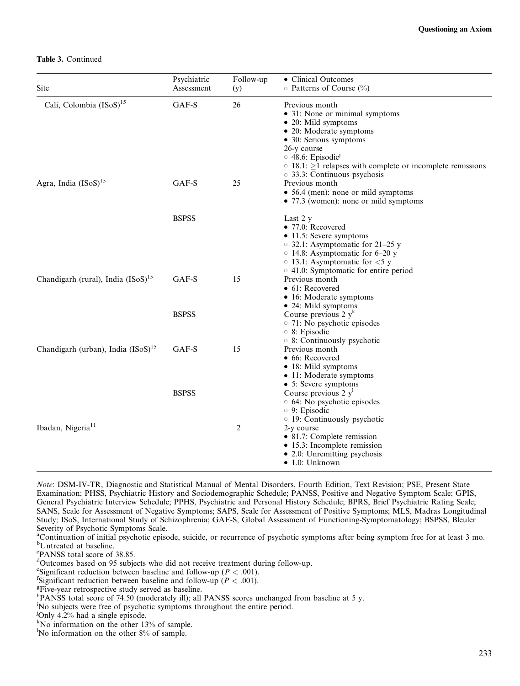#### Table 3. Continued

| Site                                           | Psychiatric<br>Assessment | Follow-up<br>(y) | • Clinical Outcomes<br>O Patterns of Course (%)                                                                                                                                                                                                                                                    |
|------------------------------------------------|---------------------------|------------------|----------------------------------------------------------------------------------------------------------------------------------------------------------------------------------------------------------------------------------------------------------------------------------------------------|
| Cali, Colombia (ISoS) <sup>15</sup>            | GAF-S                     | 26               | Previous month<br>• 31: None or minimal symptoms<br>$\bullet$ 20: Mild symptoms<br>• 20: Moderate symptoms<br>• 30: Serious symptoms<br>26-y course<br>$\circ$ 48.6: Episodic <sup>1</sup><br>$\circ$ 18.1: $\geq$ 1 relapses with complete or incomplete remissions<br>33.3: Continuous psychosis |
| Agra, India (ISoS) <sup>15</sup>               | GAF-S                     | 25               | Previous month<br>• 56.4 (men): none or mild symptoms<br>• 77.3 (women): none or mild symptoms                                                                                                                                                                                                     |
|                                                | <b>BSPSS</b>              |                  | Last 2 y<br>• 77.0: Recovered<br>• 11.5: Severe symptoms<br>$\circ$ 32.1: Asymptomatic for 21–25 y<br>$\circ$ 14.8: Asymptomatic for 6–20 y<br>$\circ$ 13.1: Asymptomatic for $<$ 5 y<br>$\circ$ 41.0: Symptomatic for entire period                                                               |
| Chandigarh (rural), India (ISoS) <sup>15</sup> | GAF-S                     | 15               | Previous month<br>$\bullet$ 61: Recovered<br>• 16: Moderate symptoms<br>• 24: Mild symptoms                                                                                                                                                                                                        |
|                                                | <b>BSPSS</b>              |                  | Course previous $2 yk$<br>○ 71: No psychotic episodes<br>$\circ$ 8: Episodic<br>$\circ$ 8: Continuously psychotic                                                                                                                                                                                  |
| Chandigarh (urban), India $(ISO)^{15}$         | GAF-S                     | 15               | Previous month<br>• 66: Recovered<br>• 18: Mild symptoms<br>• 11: Moderate symptoms<br>• 5: Severe symptoms                                                                                                                                                                                        |
|                                                | <b>BSPSS</b>              |                  | Course previous $2 y1$<br>○ 64: No psychotic episodes<br>$\circ$ 9: Episodic<br>○ 19: Continuously psychotic                                                                                                                                                                                       |
| Ibadan, Nigeria <sup>11</sup>                  |                           | 2                | 2-y course<br>• 81.7: Complete remission<br>• 15.3: Incomplete remission<br>• 2.0: Unremitting psychosis<br>$\bullet$ 1.0: Unknown                                                                                                                                                                 |

Note: DSM-IV-TR, Diagnostic and Statistical Manual of Mental Disorders, Fourth Edition, Text Revision; PSE, Present State Examination; PHSS, Psychiatric History and Sociodemographic Schedule; PANSS, Positive and Negative Symptom Scale; GPIS, General Psychiatric Interview Schedule; PPHS, Psychiatric and Personal History Schedule; BPRS, Brief Psychiatric Rating Scale; SANS, Scale for Assessment of Negative Symptoms; SAPS, Scale for Assessment of Positive Symptoms; MLS, Madras Longitudinal Study; ISoS, International Study of Schizophrenia; GAF-S, Global Assessment of Functioning-Symptomatology; BSPSS, Bleuler Severity of Psychotic Symptoms Scale.

c PANSS total score of 38.85.

- Significant reduction between baseline and follow-up ( $P < .001$ ).<br><sup>EFive</sup> year retrospective study served as baseline
- <sup>g</sup>Five-year retrospective study served as baseline.

j Only 4.2% had a single episode.

<sup>&</sup>lt;sup>a</sup>Continuation of initial psychotic episode, suicide, or recurrence of psychotic symptoms after being symptom free for at least 3 mo. <sup>b</sup>Untreated at baseline.

d Outcomes based on 95 subjects who did not receive treatment during follow-up.

<sup>&</sup>lt;sup>e</sup>Significant reduction between baseline and follow-up ( $P < .001$ ).<br><sup>f</sup>Significant reduction between baseline and follow up ( $P < .001$ ).

hPANSS total score of 74.50 (moderately ill); all PANSS scores unchanged from baseline at 5 y.

i No subjects were free of psychotic symptoms throughout the entire period.

k No information on the other 13% of sample.

<sup>&</sup>lt;sup>1</sup>No information on the other 8% of sample.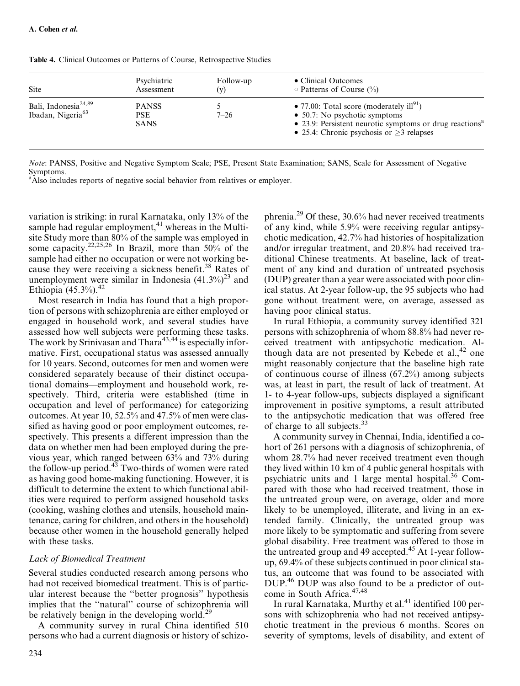| Site                                                              | Psychiatric                               | Follow-up | • Clinical Outcomes                                                                                                                                                                                                    |
|-------------------------------------------------------------------|-------------------------------------------|-----------|------------------------------------------------------------------------------------------------------------------------------------------------------------------------------------------------------------------------|
|                                                                   | Assessment                                | (v)       | $\circ$ Patterns of Course (%)                                                                                                                                                                                         |
| Bali, Indonesia <sup>24,89</sup><br>Ibadan, Nigeria <sup>63</sup> | <b>PANSS</b><br><b>PSE</b><br><b>SANS</b> | $7 - 26$  | • 77.00: Total score (moderately ill <sup>91</sup> )<br>$\bullet$ 50.7: No psychotic symptoms<br>• 23.9: Persistent neurotic symptoms or drug reactions <sup>a</sup><br>• 25.4: Chronic psychosis or $\geq$ 3 relapses |

Table 4. Clinical Outcomes or Patterns of Course, Retrospective Studies

Note: PANSS, Positive and Negative Symptom Scale; PSE, Present State Examination; SANS, Scale for Assessment of Negative Symptoms.

<sup>a</sup>Also includes reports of negative social behavior from relatives or employer.

variation is striking: in rural Karnataka, only 13% of the sample had regular employment, $41$  whereas in the Multisite Study more than 80% of the sample was employed in some capacity.<sup>22,25,26</sup> In Brazil, more than 50% of the sample had either no occupation or were not working because they were receiving a sickness benefit.<sup>38</sup> Rates of unemployment were similar in Indonesia  $(41.3\%)^{23}$  and Ethiopia  $(45.3\%)$ .<sup>42</sup>

Most research in India has found that a high proportion of persons with schizophrenia are either employed or engaged in household work, and several studies have assessed how well subjects were performing these tasks. The work by Srinivasan and Thara<sup>43,44</sup> is especially informative. First, occupational status was assessed annually for 10 years. Second, outcomes for men and women were considered separately because of their distinct occupational domains—employment and household work, respectively. Third, criteria were established (time in occupation and level of performance) for categorizing outcomes. At year 10, 52.5% and 47.5% of men were classified as having good or poor employment outcomes, respectively. This presents a different impression than the data on whether men had been employed during the previous year, which ranged between 63% and 73% during the follow-up period. $43$  Two-thirds of women were rated as having good home-making functioning. However, it is difficult to determine the extent to which functional abilities were required to perform assigned household tasks (cooking, washing clothes and utensils, household maintenance, caring for children, and others in the household) because other women in the household generally helped with these tasks.

## Lack of Biomedical Treatment

Several studies conducted research among persons who had not received biomedical treatment. This is of particular interest because the ''better prognosis'' hypothesis implies that the ''natural'' course of schizophrenia will be relatively benign in the developing world.<sup>29</sup>

A community survey in rural China identified 510 persons who had a current diagnosis or history of schizophrenia.29 Of these, 30.6% had never received treatments of any kind, while 5.9% were receiving regular antipsychotic medication, 42.7% had histories of hospitalization and/or irregular treatment, and 20.8% had received traditional Chinese treatments. At baseline, lack of treatment of any kind and duration of untreated psychosis (DUP) greater than a year were associated with poor clinical status. At 2-year follow-up, the 95 subjects who had gone without treatment were, on average, assessed as having poor clinical status.

In rural Ethiopia, a community survey identified 321 persons with schizophrenia of whom 88.8% had never received treatment with antipsychotic medication. Although data are not presented by Kebede et al., $42$  one might reasonably conjecture that the baseline high rate of continuous course of illness (67.2%) among subjects was, at least in part, the result of lack of treatment. At 1- to 4-year follow-ups, subjects displayed a significant improvement in positive symptoms, a result attributed to the antipsychotic medication that was offered free of charge to all subjects.<sup>33</sup>

A community survey in Chennai, India, identified a cohort of 261 persons with a diagnosis of schizophrenia, of whom 28.7% had never received treatment even though they lived within 10 km of 4 public general hospitals with psychiatric units and 1 large mental hospital.<sup>36</sup> Compared with those who had received treatment, those in the untreated group were, on average, older and more likely to be unemployed, illiterate, and living in an extended family. Clinically, the untreated group was more likely to be symptomatic and suffering from severe global disability. Free treatment was offered to those in the untreated group and 49 accepted.<sup>45</sup> At 1-year followup, 69.4% of these subjects continued in poor clinical status, an outcome that was found to be associated with DUP.46 DUP was also found to be a predictor of outcome in South Africa.<sup>47,48</sup>

In rural Karnataka, Murthy et al. $41$  identified 100 persons with schizophrenia who had not received antipsychotic treatment in the previous 6 months. Scores on severity of symptoms, levels of disability, and extent of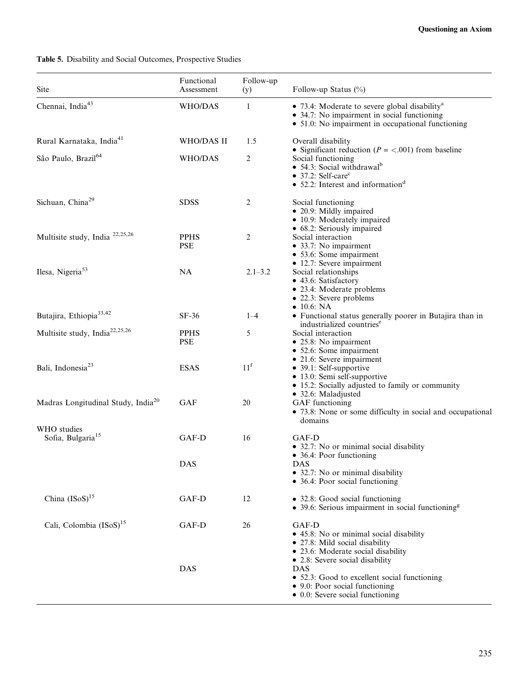## Table 5. Disability and Social Outcomes, Prospective Studies

| Site                                           | Functional<br>Assessment  | Follow-up<br>(y) | Follow-up Status (%)                                                                                                                                                                                                             |
|------------------------------------------------|---------------------------|------------------|----------------------------------------------------------------------------------------------------------------------------------------------------------------------------------------------------------------------------------|
| Chennai, India <sup>43</sup>                   | WHO/DAS                   | 1                | • 73.4: Moderate to severe global disability <sup>a</sup><br>• 34.7: No impairment in social functioning<br>• 51.0: No impairment in occupational functioning                                                                    |
| Rural Karnataka, India <sup>41</sup>           | WHO/DAS II                | 1.5              | Overall disability                                                                                                                                                                                                               |
| São Paulo, Brazil <sup>64</sup>                | WHO/DAS                   | 2                | • Significant reduction ( $P = <.001$ ) from baseline<br>Social functioning<br>$\bullet$ 54.3: Social withdrawal <sup>b</sup><br>$\bullet$ 37.2: Self-care <sup>c</sup><br>$\bullet$ 52.2: Interest and information <sup>d</sup> |
| Sichuan, China <sup>29</sup>                   | <b>SDSS</b>               | 2                | Social functioning<br>• 20.9: Mildly impaired<br>• 10.9: Moderately impaired                                                                                                                                                     |
| Multisite study, India <sup>22,25,26</sup>     | <b>PPHS</b><br><b>PSE</b> | $\overline{c}$   | • 68.2: Seriously impaired<br>Social interaction<br>• 33.7: No impairment<br>• 53.6: Some impairment                                                                                                                             |
| Ilesa, Nigeria <sup>53</sup>                   | <b>NA</b>                 | $2.1 - 3.2$      | • 12.7: Severe impairment<br>Social relationships<br>• 43.6: Satisfactory<br>• 23.4: Moderate problems<br>• 22.3: Severe problems<br>$\bullet$ 10.6: NA                                                                          |
| Butajira, Ethiopia <sup>33,42</sup>            | $SF-36$                   | $1 - 4$          | • Functional status generally poorer in Butajira than in<br>industrialized countries <sup>e</sup>                                                                                                                                |
| Multisite study, India <sup>22,25,26</sup>     | <b>PPHS</b><br><b>PSE</b> | 5                | Social interaction<br>• 25.8: No impairment<br>• 52.6: Some impairment                                                                                                                                                           |
| Bali, Indonesia <sup>23</sup>                  | <b>ESAS</b>               | 11 <sup>f</sup>  | • 21.6: Severe impairment<br>• 39.1: Self-supportive<br>• 13.0: Semi self-supportive<br>• 15.2: Socially adjusted to family or community<br>• 32.6: Maladjusted                                                                  |
| Madras Longitudinal Study, India <sup>20</sup> | <b>GAF</b>                | 20               | GAF functioning<br>• 73.8: None or some difficulty in social and occupational<br>domains                                                                                                                                         |
| WHO studies<br>Sofia, Bulgaria <sup>15</sup>   | GAF-D                     | 16               | GAF-D<br>• 32.7: No or minimal social disability<br>• 36.4: Poor functioning                                                                                                                                                     |
|                                                | <b>DAS</b>                |                  | DAS<br>• 32.7: No or minimal disability<br>• 36.4: Poor social functioning                                                                                                                                                       |
| China (ISoS) <sup>15</sup>                     | GAF-D                     | 12               | • 32.8: Good social functioning<br>• 39.6: Serious impairment in social functioning <sup>g</sup>                                                                                                                                 |
| Cali, Colombia (ISoS) <sup>15</sup>            | GAF-D                     | 26               | GAF-D<br>• 45.8: No or minimal social disability<br>• 27.8: Mild social disability<br>• 23.6: Moderate social disability<br>• 2.8: Severe social disability                                                                      |
|                                                | <b>DAS</b>                |                  | DAS<br>• 52.3: Good to excellent social functioning<br>• 9.0: Poor social functioning<br>• 0.0: Severe social functioning                                                                                                        |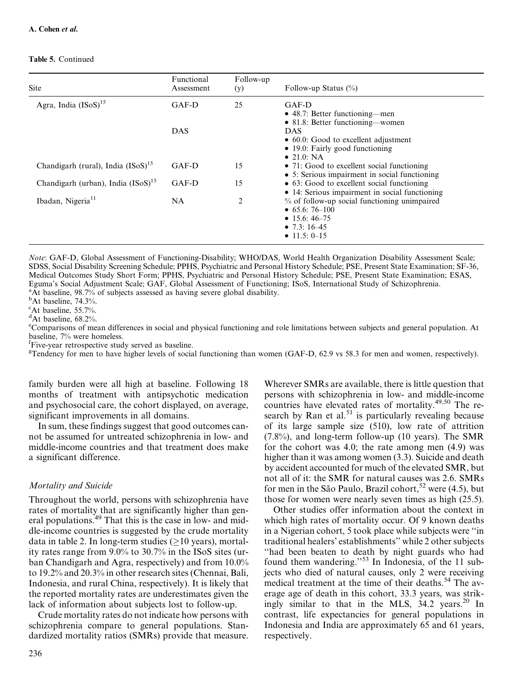#### Table 5. Continued

| Site                                    | Functional<br>Assessment | Follow-up<br>(y) | Follow-up Status $(\%)$                                                                                              |
|-----------------------------------------|--------------------------|------------------|----------------------------------------------------------------------------------------------------------------------|
| Agra, India $(ISO)^{15}$                | GAF-D                    | 25               | GAF-D<br>• 48.7: Better functioning—men<br>• 81.8: Better functioning—women                                          |
|                                         | <b>DAS</b>               |                  | <b>DAS</b><br>$\bullet$ 60.0: Good to excellent adjustment<br>• 19.0: Fairly good functioning<br>$\bullet$ 21.0: NA  |
| Chandigarh (rural), India $(ISoS)^{15}$ | $GAF-D$                  | 15               | • 71: Good to excellent social functioning<br>• 5: Serious impairment in social functioning                          |
| Chandigarh (urban), India $(ISO)^{15}$  | $GAF-D$                  | 15               | • 63: Good to excellent social functioning<br>• 14: Serious impairment in social functioning                         |
| Ibadan, Nigeria <sup>11</sup>           | NA                       | 2                | % of follow-up social functioning unimpaired<br>• $65.6:76-100$<br>• 15.6: 46–75<br>• 7.3: $16-45$<br>• 11.5: $0-15$ |

Note: GAF-D, Global Assessment of Functioning-Disability; WHO/DAS, World Health Organization Disability Assessment Scale; SDSS, Social Disability Screening Schedule; PPHS, Psychiatric and Personal History Schedule; PSE, Present State Examination; SF-36, Medical Outcomes Study Short Form; PPHS, Psychiatric and Personal History Schedule; PSE, Present State Examination; ESAS, Eguma's Social Adjustment Scale; GAF, Global Assessment of Functioning; ISoS, International Study of Schizophrenia. <sup>a</sup>At baseline, 98.7% of subjects assessed as having severe global disability.

<sup>b</sup>At baseline, 74.3%.

c At baseline, 55.7%.

<sup>d</sup>At baseline, 68.2%.

e Comparisons of mean differences in social and physical functioning and role limitations between subjects and general population. At baseline, 7% were homeless.

f Five-year retrospective study served as baseline.

<sup>g</sup>Tendency for men to have higher levels of social functioning than women (GAF-D, 62.9 vs 58.3 for men and women, respectively).

family burden were all high at baseline. Following 18 months of treatment with antipsychotic medication and psychosocial care, the cohort displayed, on average, significant improvements in all domains.

In sum, these findings suggest that good outcomes cannot be assumed for untreated schizophrenia in low- and middle-income countries and that treatment does make a significant difference.

## Mortality and Suicide

Throughout the world, persons with schizophrenia have rates of mortality that are significantly higher than general populations.<sup>49</sup> That this is the case in low- and middle-income countries is suggested by the crude mortality data in table 2. In long-term studies  $(>10 \text{ years})$ , mortality rates range from 9.0% to 30.7% in the ISoS sites (urban Chandigarh and Agra, respectively) and from 10.0% to 19.2% and 20.3% in other research sites (Chennai, Bali, Indonesia, and rural China, respectively). It is likely that the reported mortality rates are underestimates given the lack of information about subjects lost to follow-up.

Crude mortality rates do not indicate how persons with schizophrenia compare to general populations. Standardized mortality ratios (SMRs) provide that measure.

Wherever SMRs are available, there is little question that persons with schizophrenia in low- and middle-income countries have elevated rates of mortality.<sup>49,50</sup> The research by Ran et al.<sup>51</sup> is particularly revealing because of its large sample size (510), low rate of attrition  $(7.8\%)$ , and long-term follow-up (10 years). The SMR for the cohort was 4.0; the rate among men (4.9) was higher than it was among women (3.3). Suicide and death by accident accounted for much of the elevated SMR, but not all of it: the SMR for natural causes was 2.6. SMRs for men in the São Paulo, Brazil cohort,<sup>52</sup> were (4.5), but those for women were nearly seven times as high (25.5).

Other studies offer information about the context in which high rates of mortality occur. Of 9 known deaths in a Nigerian cohort, 5 took place while subjects were ''in traditional healers' establishments'' while 2 other subjects ''had been beaten to death by night guards who had found them wandering."<sup>53</sup> In Indonesia, of the 11 subjects who died of natural causes, only 2 were receiving medical treatment at the time of their deaths.<sup>54</sup> The average age of death in this cohort, 33.3 years, was strikingly similar to that in the MLS, 34.2 years.<sup>20</sup> In contrast, life expectancies for general populations in Indonesia and India are approximately 65 and 61 years, respectively.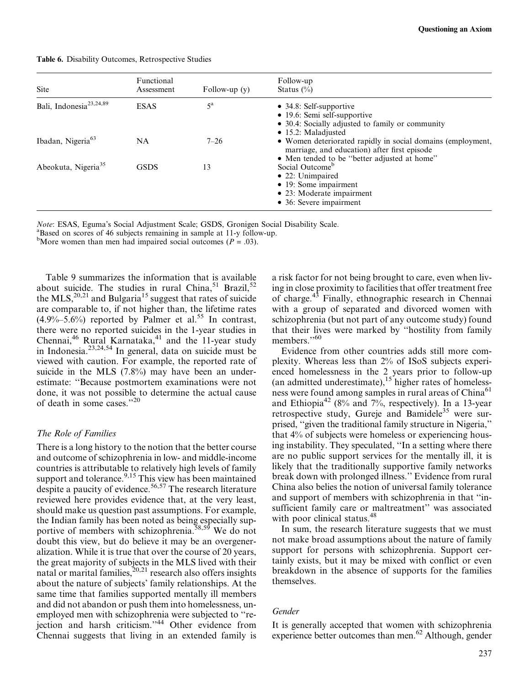| <b>Site</b>                         | Functional<br>Assessment | Follow-up $(y)$ | Follow-up<br>Status $(\% )$                                                                                                                                 |
|-------------------------------------|--------------------------|-----------------|-------------------------------------------------------------------------------------------------------------------------------------------------------------|
| Bali, Indonesia <sup>23,24,89</sup> | <b>ESAS</b>              | $5^{\rm a}$     | $\bullet$ 34.8: Self-supportive<br>$\bullet$ 19.6: Semi self-supportive<br>• 30.4: Socially adjusted to family or community<br>$\bullet$ 15.2: Maladjusted  |
| Ibadan, Nigeria <sup>63</sup>       | NA.                      | $7 - 26$        | • Women deteriorated rapidly in social domains (employment,<br>marriage, and education) after first episode<br>• Men tended to be "better adjusted at home" |
| Abeokuta, Nigeria <sup>35</sup>     | <b>GSDS</b>              | 13              | Social Outcome <sup>b</sup><br>$\bullet$ 22: Unimpaired<br>$\bullet$ 19: Some impairment<br>• 23: Moderate impairment<br>• 36: Severe impairment            |

Table 6. Disability Outcomes, Retrospective Studies

Note: ESAS, Eguma's Social Adjustment Scale; GSDS, Gronigen Social Disability Scale. <sup>a</sup>

Based on scores of 46 subjects remaining in sample at 11-y follow-up.

<sup>b</sup>More women than men had impaired social outcomes ( $P = .03$ ).

Table 9 summarizes the information that is available about suicide. The studies in rural China,  $51$  Brazil,  $52$ the MLS,<sup>20,21</sup> and Bulgaria<sup>15</sup> suggest that rates of suicide are comparable to, if not higher than, the lifetime rates  $(4.9\% - 5.6\%)$  reported by Palmer et al.<sup>55</sup> In contrast, there were no reported suicides in the 1-year studies in Chennai,<sup>46</sup> Rural Karnataka,<sup>41</sup> and the 11-year study in Indonesia.23,24,54 In general, data on suicide must be viewed with caution. For example, the reported rate of suicide in the MLS (7.8%) may have been an underestimate: ''Because postmortem examinations were not done, it was not possible to determine the actual cause of death in some cases."<sup>20</sup>

## The Role of Families

There is a long history to the notion that the better course and outcome of schizophrenia in low- and middle-income countries is attributable to relatively high levels of family support and tolerance.<sup>9,15</sup> This view has been maintained despite a paucity of evidence.56,57 The research literature reviewed here provides evidence that, at the very least, should make us question past assumptions. For example, the Indian family has been noted as being especially supportive of members with schizophrenia.<sup>58,59</sup> We do not doubt this view, but do believe it may be an overgeneralization. While it is true that over the course of 20 years, the great majority of subjects in the MLS lived with their natal or marital families, $20,21$  research also offers insights about the nature of subjects' family relationships. At the same time that families supported mentally ill members and did not abandon or push them into homelessness, unemployed men with schizophrenia were subjected to ''rejection and harsh criticism."<sup>44</sup> Other evidence from Chennai suggests that living in an extended family is a risk factor for not being brought to care, even when living in close proximity to facilities that offer treatment free of charge.43 Finally, ethnographic research in Chennai with a group of separated and divorced women with schizophrenia (but not part of any outcome study) found that their lives were marked by ''hostility from family members."<sup>60</sup>

Evidence from other countries adds still more complexity. Whereas less than 2% of ISoS subjects experienced homelessness in the 2 years prior to follow-up (an admitted underestimate),  $15$  higher rates of homelessness were found among samples in rural areas of China<sup>61</sup> and Ethiopia<sup>42</sup> (8% and 7%, respectively). In a 13-year retrospective study, Gureje and Bamidele<sup>35</sup> were surprised, ''given the traditional family structure in Nigeria,'' that 4% of subjects were homeless or experiencing housing instability. They speculated, ''In a setting where there are no public support services for the mentally ill, it is likely that the traditionally supportive family networks break down with prolonged illness.'' Evidence from rural China also belies the notion of universal family tolerance and support of members with schizophrenia in that ''insufficient family care or maltreatment" was associated with poor clinical status.<sup>48</sup>

In sum, the research literature suggests that we must not make broad assumptions about the nature of family support for persons with schizophrenia. Support certainly exists, but it may be mixed with conflict or even breakdown in the absence of supports for the families themselves.

## Gender

It is generally accepted that women with schizophrenia experience better outcomes than men.<sup>62</sup> Although, gender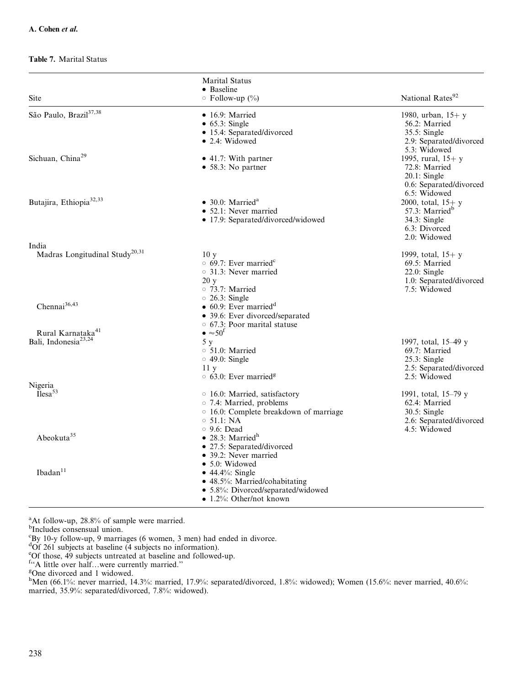#### Table 7. Marital Status

|                                                                   | <b>Marital Status</b><br>• Baseline                                                                                                                                        |                                                                                                     |
|-------------------------------------------------------------------|----------------------------------------------------------------------------------------------------------------------------------------------------------------------------|-----------------------------------------------------------------------------------------------------|
| <b>Site</b>                                                       | $\circ$ Follow-up (%)                                                                                                                                                      | National Rates <sup>92</sup>                                                                        |
| São Paulo, Brazil <sup>37,38</sup>                                | $\bullet$ 16.9: Married<br>$\bullet$ 65.3: Single<br>• 15.4: Separated/divorced<br>$\bullet$ 2.4: Widowed                                                                  | 1980, urban, $15+$ y<br>56.2: Married<br>$35.5$ : Single<br>2.9: Separated/divorced<br>5.3: Widowed |
| Sichuan, China <sup>29</sup>                                      | • 41.7: With partner<br>• 58.3: No partner                                                                                                                                 | 1995, rural, $15+$ v<br>72.8: Married<br>$20.1:$ Single<br>0.6: Separated/divorced<br>6.5: Widowed  |
| Butajira, Ethiopia <sup>32,33</sup>                               | $\bullet$ 30.0: Married <sup>a</sup><br>• 52.1: Never married<br>• 17.9: Separated/divorced/widowed                                                                        | 2000, total, $15+ y$<br>57.3: Married <sup>b</sup><br>34.3: Single<br>6.3: Divorced<br>2.0: Widowed |
| India<br>Madras Longitudinal Study <sup>20,31</sup>               | 10 <sub>y</sub><br>$\circ$ 69.7: Ever married <sup>c</sup><br>$\circ$ 31.3: Never married<br>20y<br>$\circ$ 73.7: Married                                                  | 1999, total, $15+ y$<br>69.5: Married<br>$22.0:$ Single<br>1.0: Separated/divorced<br>7.5: Widowed  |
| Chennai <sup>36,43</sup>                                          | $\circ$ 26.3: Single<br>$\bullet$ 60.9: Ever married <sup>d</sup><br>• 39.6: Ever divorced/separated<br>$\circ$ 67.3: Poor marital statuse<br>$\bullet \approx 50^{\circ}$ |                                                                                                     |
| Rural Karnataka <sup>41</sup><br>Bali, Indonesia <sup>23,24</sup> | 5 <sub>y</sub><br>$\circ$ 51.0: Married<br>$\circ$ 49.0: Single<br>11y<br>$\circ$ 63.0: Ever married <sup>g</sup>                                                          | 1997, total, 15-49 y<br>69.7: Married<br>$25.3$ : Single<br>2.5: Separated/divorced<br>2.5: Widowed |
| Nigeria<br>Ilesa <sup>53</sup>                                    | ○ 16.0: Married, satisfactory<br>○ 7.4: Married, problems<br>o 16.0: Complete breakdown of marriage<br>$\circ$ 51.1: NA<br>$\circ$ 9.6: Dead                               | 1991, total, 15-79 y<br>62.4: Married<br>30.5: Single<br>2.6: Separated/divorced<br>4.5: Widowed    |
| Abeokuta <sup>35</sup>                                            | $\bullet$ 28.3: Married <sup>h</sup><br>• 27.5: Separated/divorced<br>• 39.2: Never married<br>• 5.0: Widowed                                                              |                                                                                                     |
| Ibadan <sup>11</sup>                                              | $\bullet$ 44.4%: Single<br>• 48.5%: Married/cohabitating<br>• 5.8%: Divorced/separated/widowed<br>• 1.2%: Other/not known                                                  |                                                                                                     |

<sup>a</sup>At follow-up, 28.8% of sample were married.<br><sup>b</sup>Includes consensual union.

c By 10-y follow-up, 9 marriages (6 women, 3 men) had ended in divorce.

<sup>d</sup>Of 261 subjects at baseline (4 subjects no information).

e Of those, 49 subjects untreated at baseline and followed-up.

 $\frac{f}{f}$ . A little over half...were currently married."

h<br>Men (66.1%: never married, 14.3%: married, 17.9%: separated/divorced, 1.8%: widowed); Women (15.6%: never married, 40.6%: married, 35.9%: separated/divorced, 7.8%: widowed).

One divorced and 1 widowed.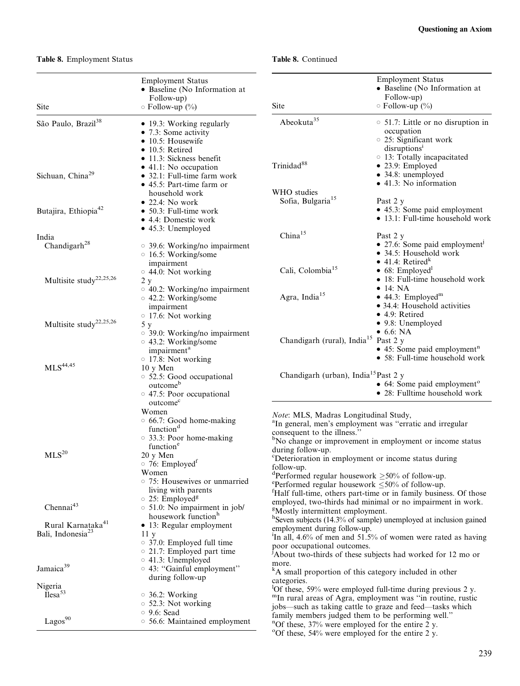## Table 8. Employment Status

## Table 8. Continued

| Site                                                   | <b>Employment Status</b><br>· Baseline (No Information at<br>Follow-up)<br>$\circ$ Follow-up (%)                                                                                                                                                                                               | Site                                                                                                                                                                                                                                                                                                                                                                                | <b>Employment Status</b><br>· Baseline (No Information at<br>Follow-up)<br>$\circ$ Follow-up $(\%)$                                                                                                                 |
|--------------------------------------------------------|------------------------------------------------------------------------------------------------------------------------------------------------------------------------------------------------------------------------------------------------------------------------------------------------|-------------------------------------------------------------------------------------------------------------------------------------------------------------------------------------------------------------------------------------------------------------------------------------------------------------------------------------------------------------------------------------|---------------------------------------------------------------------------------------------------------------------------------------------------------------------------------------------------------------------|
| São Paulo, Brazil <sup>38</sup>                        | • 19.3: Working regularly<br>$\bullet$ 7.3: Some activity<br>$\bullet$ 10.5: Housewife                                                                                                                                                                                                         | Abeokuta <sup>35</sup>                                                                                                                                                                                                                                                                                                                                                              | $\circ$ 51.7: Little or no disruption in<br>occupation<br>○ 25: Significant work                                                                                                                                    |
| Sichuan, China <sup>29</sup>                           | $\bullet$ 10.5: Retired<br>• 11.3: Sickness benefit<br>• 41.1: No occupation<br>• 32.1: Full-time farm work<br>• 45.5: Part-time farm or                                                                                                                                                       | Trinidad <sup>88</sup><br>WHO studies                                                                                                                                                                                                                                                                                                                                               | disruptions <sup>1</sup><br>$\circ$ 13: Totally incapacitated<br>• 23.9: Employed<br>• 34.8: unemployed<br>• 41.3: No information                                                                                   |
| Butajira, Ethiopia <sup>42</sup>                       | household work<br>$\bullet$ 22.4: No work<br>$\bullet$ 50.3: Full-time work<br>• 4.4: Domestic work                                                                                                                                                                                            | Sofia, Bulgaria <sup>15</sup>                                                                                                                                                                                                                                                                                                                                                       | Past 2 y<br>• 45.3: Some paid employment<br>• 13.1: Full-time household work                                                                                                                                        |
|                                                        | $\bullet$ 45.3: Unemployed                                                                                                                                                                                                                                                                     | China <sup>15</sup>                                                                                                                                                                                                                                                                                                                                                                 |                                                                                                                                                                                                                     |
| India<br>Chandigarh <sup>28</sup>                      | $\circ$ 39.6: Working/no impairment<br>$\circ$ 16.5: Working/some                                                                                                                                                                                                                              |                                                                                                                                                                                                                                                                                                                                                                                     | Past 2 y<br>• 27.6: Some paid employment <sup>j</sup><br>• 34.5: Household work<br>$\bullet$ 41.4: Retired <sup>k</sup>                                                                                             |
| Multisite study <sup>22,25,26</sup>                    | impairment<br>○ 44.0: Not working<br>$2\ \mathrm{y}$                                                                                                                                                                                                                                           | Cali, Colombia <sup>15</sup>                                                                                                                                                                                                                                                                                                                                                        | $\bullet$ 68: Employed <sup>1</sup><br>• 18: Full-time household work<br>$\bullet$ 14: NA                                                                                                                           |
|                                                        | $\circ$ 40.2: Working/no impairment<br>○ 42.2: Working/some<br>impairment<br>$\circ$ 17.6: Not working                                                                                                                                                                                         | Agra, India <sup>15</sup>                                                                                                                                                                                                                                                                                                                                                           | $\bullet$ 44.3: Employed <sup>m</sup><br>• 34.4: Household activities<br>$\bullet$ 4.9: Retired                                                                                                                     |
| Multisite study <sup>22,25,26</sup>                    | 5 y<br>$\circ$ 39.0: Working/no impairment<br>○ 43.2: Working/some                                                                                                                                                                                                                             | Chandigarh (rural), India <sup>15</sup> Past 2 y                                                                                                                                                                                                                                                                                                                                    | • 9.8: Unemployed<br>$\bullet$ 6.6: NA                                                                                                                                                                              |
| $\rm{MLS}^{44,45}$                                     | impairment <sup>a</sup><br>$\circ$ 17.8: Not working<br>$10 y$ Men<br>○ 52.5: Good occupational<br>outcome <sup>b</sup><br>○ 47.5: Poor occupational                                                                                                                                           | Chandigarh (urban), India <sup>15</sup> Past 2 y                                                                                                                                                                                                                                                                                                                                    | $\bullet$ 45: Some paid employment <sup>n</sup><br>• 58: Full-time household work<br>• 64: Some paid employment <sup>o</sup><br>• 28: Fulltime household work                                                       |
| MLS <sup>20</sup>                                      | outcome <sup>c</sup><br>Women<br>○ 66.7: Good home-making<br>function <sup>d</sup><br>○ 33.3: Poor home-making<br>function <sup>e</sup><br>20 y Men<br>$\circ$ 76: Employed <sup>f</sup><br>Women<br>○ 75: Housewives or unmarried<br>living with parents<br>$\circ$ 25: Employed <sup>g</sup> | Note: MLS, Madras Longitudinal Study,<br><sup>a</sup> In general, men's employment was "erratic and irregular<br>consequent to the illness."<br>during follow-up.<br><sup>c</sup> Deterioration in employment or income status during<br>follow-up.<br><sup>d</sup> Performed regular housework $\geq 50\%$ of follow-up.<br>eperformed regular housework $\leq 50\%$ of follow-up. | <sup>b</sup> No change or improvement in employment or income status<br><sup>1</sup> Half full-time, others part-time or in family business. Of those<br>employed, two-thirds had minimal or no impairment in work. |
| Chennai <sup>43</sup><br>Rural Karnataka <sup>41</sup> | $\circ$ 51.0: No impairment in job/<br>housework function <sup>h</sup>                                                                                                                                                                                                                         | <sup>g</sup> Mostly intermittent employment.                                                                                                                                                                                                                                                                                                                                        | <sup>h</sup> Seven subjects (14.3% of sample) unemployed at inclusion gained                                                                                                                                        |
| Bali, Indonesia <sup>23</sup>                          | • 13: Regular employment<br>11 <sub>y</sub><br>$\circ$ 37.0: Employed full time<br>$\circ$ 21.7: Employed part time<br>$\circ$ 41.3: Unemployed                                                                                                                                                | employment during follow-up.<br>poor occupational outcomes.                                                                                                                                                                                                                                                                                                                         | <sup>1</sup> In all, 4.6% of men and 51.5% of women were rated as having<br>About two-thirds of these subjects had worked for 12 mo or                                                                              |
| Jamaica <sup>39</sup>                                  | ○ 43: "Gainful employment"<br>during follow-up                                                                                                                                                                                                                                                 | more.<br><sup>k</sup> A small proportion of this category included in other<br>categories.                                                                                                                                                                                                                                                                                          |                                                                                                                                                                                                                     |
| Nigeria<br>Ilesa <sup>53</sup>                         | $\circ$ 36.2: Working<br>$\circ$ 52.3: Not working<br>$\circ$ 9.6: Sead                                                                                                                                                                                                                        | jobs-such as taking cattle to graze and feed-tasks which                                                                                                                                                                                                                                                                                                                            | $^{1}$ Of these, 59% were employed full-time during previous 2 y.<br>"In rural areas of Agra, employment was "in routine, rustic                                                                                    |
| $\mbox{Lagos}^{90}$                                    | ○ 56.6: Maintained employment                                                                                                                                                                                                                                                                  | family members judged them to be performing well."<br>"Of these, $37\%$ were employed for the entire 2 y.<br>°Of these, 54% were employed for the entire 2 y.                                                                                                                                                                                                                       |                                                                                                                                                                                                                     |
|                                                        |                                                                                                                                                                                                                                                                                                |                                                                                                                                                                                                                                                                                                                                                                                     |                                                                                                                                                                                                                     |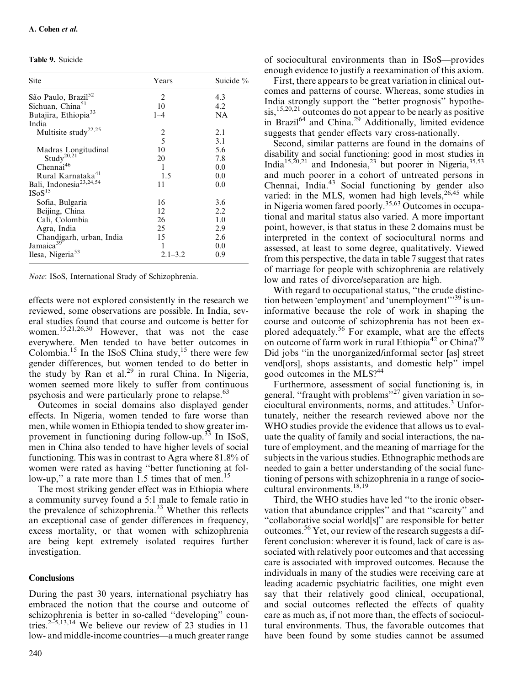Table 9. Suicide

| Site                                | Years       | Suicide % |
|-------------------------------------|-------------|-----------|
| São Paulo, Brazil <sup>52</sup>     | 2           | 4.3       |
| Sichuan, China <sup>51</sup>        | 10          | 4.2       |
| Butajira, Ethiopia <sup>33</sup>    | $1 - 4$     | NA        |
| India                               |             |           |
| Multisite study <sup>22,25</sup>    | 2           | 2.1       |
|                                     | 5           | 3.1       |
| Madras Longitudinal                 | 10          | 5.6       |
| Study <sup>20,21</sup>              | 20          | 7.8       |
| Chennai <sup>46</sup>               | 1           | 0.0       |
| Rural Karnataka <sup>41</sup>       | 1.5         | 0.0       |
| Bali, Indonesia <sup>23,24,54</sup> | 11          | 0.0       |
| ISoS <sup>15</sup>                  |             |           |
| Sofia, Bulgaria                     | 16          | 3.6       |
| Beijing, China                      | 12          | 2.2       |
| Cali, Colombia                      | 26          | 1.0       |
| Agra, India                         | 25          | 2.9       |
| Chandigarh, urban, India            | 15          | 2.6       |
| Jamaica <sup>39</sup>               | 1           | 0.0       |
| Ilesa, Nigeria <sup>53</sup>        | $2.1 - 3.2$ | 0.9       |

Note: ISoS, International Study of Schizophrenia.

effects were not explored consistently in the research we reviewed, some observations are possible. In India, several studies found that course and outcome is better for women.15,21,26,30 However, that was not the case everywhere. Men tended to have better outcomes in Colombia.<sup>15</sup> In the ISoS China study, $\frac{15}{15}$  there were few gender differences, but women tended to do better in the study by Ran et al.<sup>29</sup> in rural China. In Nigeria, women seemed more likely to suffer from continuous psychosis and were particularly prone to relapse.<sup>63</sup>

Outcomes in social domains also displayed gender effects. In Nigeria, women tended to fare worse than men, while women in Ethiopia tended to show greater improvement in functioning during follow-up.<sup>33</sup> In ISoS, men in China also tended to have higher levels of social functioning. This was in contrast to Agra where 81.8% of women were rated as having ''better functioning at follow-up," a rate more than 1.5 times that of men.<sup>15</sup>

The most striking gender effect was in Ethiopia where a community survey found a 5:1 male to female ratio in the prevalence of schizophrenia.<sup>33</sup> Whether this reflects an exceptional case of gender differences in frequency, excess mortality, or that women with schizophrenia are being kept extremely isolated requires further investigation.

#### **Conclusions**

During the past 30 years, international psychiatry has embraced the notion that the course and outcome of schizophrenia is better in so-called ''developing'' countries.<sup>2-5,13,14</sup> We believe our review of 23 studies in 11 low- and middle-income countries—a much greater range of sociocultural environments than in ISoS—provides enough evidence to justify a reexamination of this axiom.

First, there appears to be great variation in clinical outcomes and patterns of course. Whereas, some studies in India strongly support the ''better prognosis'' hypothe- $\sin^{15,20,21}$  outcomes do not appear to be nearly as positive in Brazil<sup>64</sup> and China.<sup>29</sup> Additionally, limited evidence suggests that gender effects vary cross-nationally.

Second, similar patterns are found in the domains of disability and social functioning: good in most studies in India<sup>15,20,21</sup> and Indonesia,<sup>23</sup> but poorer in Nigeria,<sup>35,53</sup> and much poorer in a cohort of untreated persons in Chennai, India.<sup>43</sup> Social functioning by gender also varied: in the MLS, women had high levels,  $26,45$  while in Nigeria women fared poorly.35,63 Outcomes in occupational and marital status also varied. A more important point, however, is that status in these 2 domains must be interpreted in the context of sociocultural norms and assessed, at least to some degree, qualitatively. Viewed from this perspective, the data in table 7 suggest that rates of marriage for people with schizophrenia are relatively low and rates of divorce/separation are high.

With regard to occupational status, ''the crude distinction between 'employment' and 'unemployment'<sup>''39</sup> is uninformative because the role of work in shaping the course and outcome of schizophrenia has not been explored adequately.56 For example, what are the effects on outcome of farm work in rural Ethiopia<sup>42</sup> or China?<sup>29</sup> Did jobs ''in the unorganized/informal sector [as] street vend[ors], shops assistants, and domestic help'' impel good outcomes in the MLS?<sup>44</sup>

Furthermore, assessment of social functioning is, in general, "fraught with problems"<sup>27</sup> given variation in sociocultural environments, norms, and attitudes.3 Unfortunately, neither the research reviewed above nor the WHO studies provide the evidence that allows us to evaluate the quality of family and social interactions, the nature of employment, and the meaning of marriage for the subjects in the various studies. Ethnographic methods are needed to gain a better understanding of the social functioning of persons with schizophrenia in a range of sociocultural environments.<sup>18,19</sup>

Third, the WHO studies have led ''to the ironic observation that abundance cripples'' and that ''scarcity'' and ''collaborative social world[s]'' are responsible for better outcomes.<sup>56</sup> Yet, our review of the research suggests a different conclusion: wherever it is found, lack of care is associated with relatively poor outcomes and that accessing care is associated with improved outcomes. Because the individuals in many of the studies were receiving care at leading academic psychiatric facilities, one might even say that their relatively good clinical, occupational, and social outcomes reflected the effects of quality care as much as, if not more than, the effects of sociocultural environments. Thus, the favorable outcomes that have been found by some studies cannot be assumed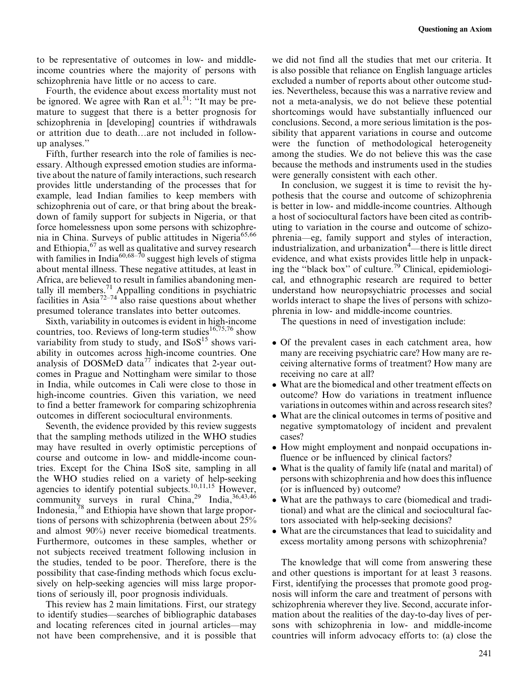to be representative of outcomes in low- and middleincome countries where the majority of persons with schizophrenia have little or no access to care.

Fourth, the evidence about excess mortality must not be ignored. We agree with Ran et al.<sup>51</sup>: "It may be premature to suggest that there is a better prognosis for schizophrenia in [developing] countries if withdrawals or attrition due to death...are not included in followup analyses.''

Fifth, further research into the role of families is necessary. Although expressed emotion studies are informative about the nature of family interactions, such research provides little understanding of the processes that for example, lead Indian families to keep members with schizophrenia out of care, or that bring about the breakdown of family support for subjects in Nigeria, or that force homelessness upon some persons with schizophrenia in China. Surveys of public attitudes in Nigeria<sup>65,66</sup> and Ethiopia, $67$  as well as qualitative and survey research with families in India<sup>60,68–70</sup> suggest high levels of stigma about mental illness. These negative attitudes, at least in Africa, are believed to result in families abandoning mentally ill members.<sup>71</sup> Appalling conditions in psychiatric facilities in Asia<sup>72-74</sup> also raise questions about whether presumed tolerance translates into better outcomes.

Sixth, variability in outcomes is evident in high-income countries, too. Reviews of long-term studies<sup>16,75,76</sup> show variability from study to study, and  $\text{IsoS}^{15}$  shows variability in outcomes across high-income countries. One analysis of DOSMeD data<sup>77</sup> indicates that 2-year outcomes in Prague and Nottingham were similar to those in India, while outcomes in Cali were close to those in high-income countries. Given this variation, we need to find a better framework for comparing schizophrenia outcomes in different sociocultural environments.

Seventh, the evidence provided by this review suggests that the sampling methods utilized in the WHO studies may have resulted in overly optimistic perceptions of course and outcome in low- and middle-income countries. Except for the China ISoS site, sampling in all the WHO studies relied on a variety of help-seeking agencies to identify potential subjects.<sup>10,11,15</sup> However, community surveys in rural China, <sup>29</sup> India, <sup>36,43,46</sup> Indonesia,78 and Ethiopia have shown that large proportions of persons with schizophrenia (between about 25% and almost 90%) never receive biomedical treatments. Furthermore, outcomes in these samples, whether or not subjects received treatment following inclusion in the studies, tended to be poor. Therefore, there is the possibility that case-finding methods which focus exclusively on help-seeking agencies will miss large proportions of seriously ill, poor prognosis individuals.

This review has 2 main limitations. First, our strategy to identify studies—searches of bibliographic databases and locating references cited in journal articles—may not have been comprehensive, and it is possible that we did not find all the studies that met our criteria. It is also possible that reliance on English language articles excluded a number of reports about other outcome studies. Nevertheless, because this was a narrative review and not a meta-analysis, we do not believe these potential shortcomings would have substantially influenced our conclusions. Second, a more serious limitation is the possibility that apparent variations in course and outcome were the function of methodological heterogeneity among the studies. We do not believe this was the case because the methods and instruments used in the studies were generally consistent with each other.

In conclusion, we suggest it is time to revisit the hypothesis that the course and outcome of schizophrenia is better in low- and middle-income countries. Although a host of sociocultural factors have been cited as contributing to variation in the course and outcome of schizophrenia—eg, family support and styles of interaction, industrialization, and urbanization<sup>4</sup>—there is little direct evidence, and what exists provides little help in unpacking the ''black box'' of culture.79 Clinical, epidemiological, and ethnographic research are required to better understand how neuropsychiatric processes and social worlds interact to shape the lives of persons with schizophrenia in low- and middle-income countries.

The questions in need of investigation include:

- Of the prevalent cases in each catchment area, how many are receiving psychiatric care? How many are receiving alternative forms of treatment? How many are receiving no care at all?
- What are the biomedical and other treatment effects on outcome? How do variations in treatment influence variations in outcomes within and across research sites?
- What are the clinical outcomes in terms of positive and negative symptomatology of incident and prevalent cases?
- How might employment and nonpaid occupations influence or be influenced by clinical factors?
- What is the quality of family life (natal and marital) of persons with schizophrenia and how does this influence (or is influenced by) outcome?
- What are the pathways to care (biomedical and traditional) and what are the clinical and sociocultural factors associated with help-seeking decisions?
- What are the circumstances that lead to suicidality and excess mortality among persons with schizophrenia?

The knowledge that will come from answering these and other questions is important for at least 3 reasons. First, identifying the processes that promote good prognosis will inform the care and treatment of persons with schizophrenia wherever they live. Second, accurate information about the realities of the day-to-day lives of persons with schizophrenia in low- and middle-income countries will inform advocacy efforts to: (a) close the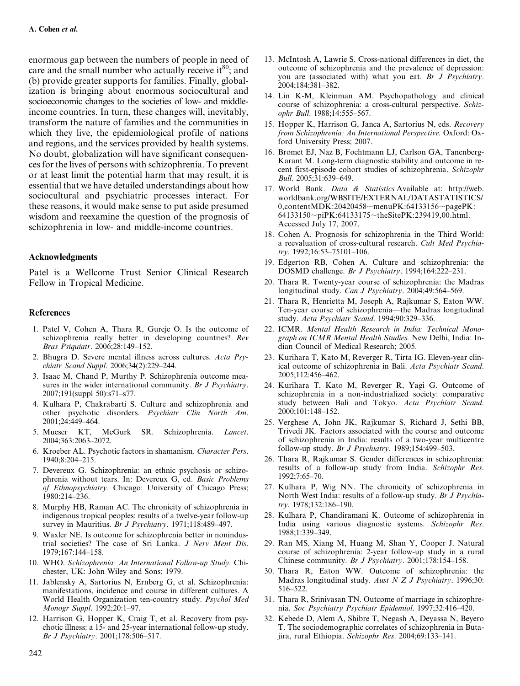enormous gap between the numbers of people in need of care and the small number who actually receive it  $80^\circ$ ; and (b) provide greater supports for families. Finally, globalization is bringing about enormous sociocultural and socioeconomic changes to the societies of low- and middleincome countries. In turn, these changes will, inevitably, transform the nature of families and the communities in which they live, the epidemiological profile of nations and regions, and the services provided by health systems. No doubt, globalization will have significant consequences for the lives of persons with schizophrenia. To prevent or at least limit the potential harm that may result, it is essential that we have detailed understandings about how sociocultural and psychiatric processes interact. For these reasons, it would make sense to put aside presumed wisdom and reexamine the question of the prognosis of schizophrenia in low- and middle-income countries.

#### Acknowledgments

Patel is a Wellcome Trust Senior Clinical Research Fellow in Tropical Medicine.

#### References

- 1. Patel V, Cohen A, Thara R, Gureje O. Is the outcome of schizophrenia really better in developing countries? Rev Bras Psiquiatr. 2006;28:149–152.
- 2. Bhugra D. Severe mental illness across cultures. Acta Psychiatr Scand Suppl. 2006;34(2):229–244.
- 3. Isaac M, Chand P, Murthy P. Schizophrenia outcome measures in the wider international community. Br J Psychiatry. 2007;191(suppl 50):s71–s77.
- 4. Kulhara P, Chakrabarti S. Culture and schizophrenia and other psychotic disorders. Psychiatr Clin North Am. 2001;24:449–464.
- 5. Mueser KT, McGurk SR. Schizophrenia. Lancet. 2004;363:2063–2072.
- 6. Kroeber AL. Psychotic factors in shamanism. Character Pers. 1940;8:204–215.
- 7. Devereux G. Schizophrenia: an ethnic psychosis or schizophrenia without tears. In: Devereux G, ed. Basic Problems of Ethnopsychiatry. Chicago: University of Chicago Press; 1980:214–236.
- 8. Murphy HB, Raman AC. The chronicity of schizophrenia in indigenous tropical peoples: results of a twelve-year follow-up survey in Mauritius. Br J Psychiatry. 1971;118:489-497.
- 9. Waxler NE. Is outcome for schizophrenia better in nonindustrial societies? The case of Sri Lanka. J Nerv Ment Dis. 1979;167:144–158.
- 10. WHO. Schizophrenia: An International Follow-up Study. Chichester, UK: John Wiley and Sons; 1979.
- 11. Jablensky A, Sartorius N, Ernberg G, et al. Schizophrenia: manifestations, incidence and course in different cultures. A World Health Organization ten-country study. Psychol Med Monogr Suppl. 1992;20:1–97.
- 12. Harrison G, Hopper K, Craig T, et al. Recovery from psychotic illness: a 15- and 25-year international follow-up study. Br J Psychiatry. 2001;178:506–517.
- 13. McIntosh A, Lawrie S. Cross-national differences in diet, the outcome of schizophrenia and the prevalence of depression: you are (associated with) what you eat. Br J Psychiatry. 2004;184:381–382.
- 14. Lin K-M, Kleinman AM. Psychopathology and clinical course of schizophrenia: a cross-cultural perspective. Schizophr Bull. 1988;14:555–567.
- 15. Hopper K, Harrison G, Janca A, Sartorius N, eds. Recovery from Schizophrenia: An International Perspective. Oxford: Oxford University Press; 2007.
- 16. Bromet EJ, Naz B, Fochtmann LJ, Carlson GA, Tanenberg-Karant M. Long-term diagnostic stability and outcome in recent first-episode cohort studies of schizophrenia. Schizophr Bull. 2005;31:639–649.
- 17. World Bank. Data & Statistics.Available at: [http://web.](64133150 piPK:64133175 theSitePK:239419,00.html.) [worldbank.org/WBSITE/EXTERNAL/DATASTATISTICS/](64133150 piPK:64133175 theSitePK:239419,00.html.)  $0$ ,contentMDK:20420458~menuPK:64133156~pagePK: 64133150~piPK:64133175~[theSitePK:239419,00.html.](64133150 piPK:64133175 theSitePK:239419,00.html.) Accessed July 17, 2007.
- 18. Cohen A. Prognosis for schizophrenia in the Third World: a reevaluation of cross-cultural research. Cult Med Psychiatry. 1992;16:53–75101–106.
- 19. Edgerton RB, Cohen A. Culture and schizophrenia: the DOSMD challenge. Br J Psychiatry. 1994;164:222–231.
- 20. Thara R. Twenty-year course of schizophrenia: the Madras longitudinal study. Can J Psychiatry. 2004;49:564-569.
- 21. Thara R, Henrietta M, Joseph A, Rajkumar S, Eaton WW. Ten-year course of schizophrenia—the Madras longitudinal study. Acta Psychiatr Scand. 1994;90:329–336.
- 22. ICMR. Mental Health Research in India: Technical Monograph on ICMR Mental Health Studies. New Delhi, India: Indian Council of Medical Research; 2005.
- 23. Kurihara T, Kato M, Reverger R, Tirta IG. Eleven-year clinical outcome of schizophrenia in Bali. Acta Psychiatr Scand. 2005;112:456–462.
- 24. Kurihara T, Kato M, Reverger R, Yagi G. Outcome of schizophrenia in a non-industrialized society: comparative study between Bali and Tokyo. Acta Psychiatr Scand. 2000;101:148–152.
- 25. Verghese A, John JK, Rajkumar S, Richard J, Sethi BB, Trivedi JK. Factors associated with the course and outcome of schizophrenia in India: results of a two-year multicentre follow-up study. Br J Psychiatry. 1989;154:499–503.
- 26. Thara R, Rajkumar S. Gender differences in schizophrenia: results of a follow-up study from India. Schizophr Res. 1992;7:65–70.
- 27. Kulhara P, Wig NN. The chronicity of schizophrenia in North West India: results of a follow-up study. Br J Psychiatry. 1978;132:186–190.
- 28. Kulhara P, Chandiramani K. Outcome of schizophrenia in India using various diagnostic systems. Schizophr Res. 1988;1:339–349.
- 29. Ran MS, Xiang M, Huang M, Shan Y, Cooper J. Natural course of schizophrenia: 2-year follow-up study in a rural Chinese community. Br J Psychiatry. 2001;178:154–158.
- 30. Thara R, Eaton WW. Outcome of schizophrenia: the Madras longitudinal study. Aust N Z J Psychiatry. 1996;30: 516–522.
- 31. Thara R, Srinivasan TN. Outcome of marriage in schizophrenia. Soc Psychiatry Psychiatr Epidemiol. 1997;32:416–420.
- 32. Kebede D, Alem A, Shibre T, Negash A, Deyassa N, Beyero T. The sociodemographic correlates of schizophrenia in Butajira, rural Ethiopia. Schizophr Res. 2004;69:133–141.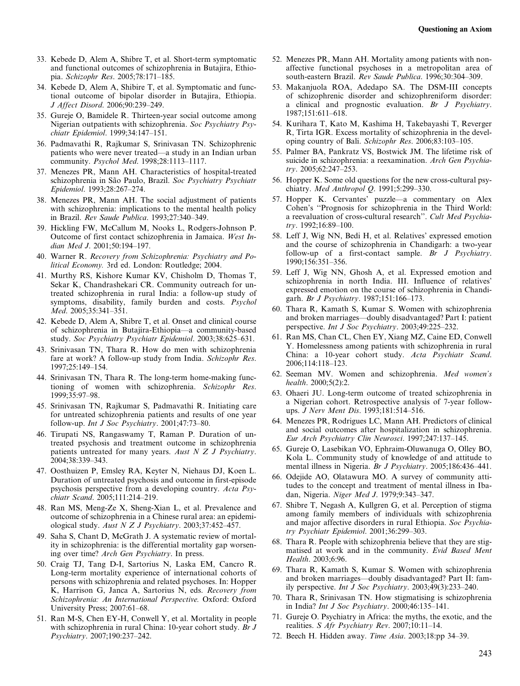- 33. Kebede D, Alem A, Shibre T, et al. Short-term symptomatic and functional outcomes of schizophrenia in Butajira, Ethiopia. Schizophr Res. 2005;78:171–185.
- 34. Kebede D, Alem A, Shibire T, et al. Symptomatic and functional outcome of bipolar disorder in Butajira, Ethiopia. J Affect Disord. 2006;90:239–249.
- 35. Gureje O, Bamidele R. Thirteen-year social outcome among Nigerian outpatients with schizophrenia. Soc Psychiatry Psychiatr Epidemiol. 1999;34:147–151.
- 36. Padmavathi R, Rajkumar S, Srinivasan TN. Schizophrenic patients who were never treated—a study in an Indian urban community. Psychol Med. 1998;28:1113–1117.
- 37. Menezes PR, Mann AH. Characteristics of hospital-treated schizophrenia in São Paulo, Brazil. Soc Psychiatry Psychiatr Epidemiol. 1993;28:267–274.
- 38. Menezes PR, Mann AH. The social adjustment of patients with schizophrenia: implications to the mental health policy in Brazil. Rev Saude Publica. 1993;27:340–349.
- 39. Hickling FW, McCallum M, Nooks L, Rodgers-Johnson P. Outcome of first contact schizophrenia in Jamaica. West Indian Med J. 2001;50:194–197.
- 40. Warner R. Recovery from Schizophrenia: Psychiatry and Political Economy. 3rd ed. London: Routledge; 2004.
- 41. Murthy RS, Kishore Kumar KV, Chisholm D, Thomas T, Sekar K, Chandrashekari CR. Community outreach for untreated schizophrenia in rural India: a follow-up study of symptoms, disability, family burden and costs. Psychol Med. 2005;35:341–351.
- 42. Kebede D, Alem A, Shibre T, et al. Onset and clinical course of schizophrenia in Butajira-Ethiopia—a community-based study. Soc Psychiatry Psychiatr Epidemiol. 2003;38:625–631.
- 43. Srinivasan TN, Thara R. How do men with schizophrenia fare at work? A follow-up study from India. Schizophr Res. 1997;25:149–154.
- 44. Srinivasan TN, Thara R. The long-term home-making functioning of women with schizophrenia. Schizophr Res. 1999;35:97–98.
- 45. Srinivasan TN, Rajkumar S, Padmavathi R. Initiating care for untreated schizophrenia patients and results of one year follow-up. Int J Soc Psychiatry. 2001;47:73–80.
- 46. Tirupati NS, Rangaswamy T, Raman P. Duration of untreated psychosis and treatment outcome in schizophrenia patients untreated for many years. Aust N Z J Psychiatry. 2004;38:339–343.
- 47. Oosthuizen P, Emsley RA, Keyter N, Niehaus DJ, Koen L. Duration of untreated psychosis and outcome in first-episode psychosis perspective from a developing country. Acta Psychiatr Scand. 2005;111:214–219.
- 48. Ran MS, Meng-Ze X, Sheng-Xian L, et al. Prevalence and outcome of schizophrenia in a Chinese rural area: an epidemiological study. Aust N Z J Psychiatry. 2003;37:452–457.
- 49. Saha S, Chant D, McGrath J. A systematic review of mortality in schizophrenia: is the differential mortality gap worsening over time? Arch Gen Psychiatry. In press.
- 50. Craig TJ, Tang D-I, Sartorius N, Laska EM, Cancro R. Long-term mortality experience of international cohorts of persons with schizophrenia and related psychoses. In: Hopper K, Harrison G, Janca A, Sartorius N, eds. Recovery from Schizophrenia: An International Perspective. Oxford: Oxford University Press; 2007:61–68.
- 51. Ran M-S, Chen EY-H, Conwell Y, et al. Mortality in people with schizophrenia in rural China: 10-year cohort study. Br J Psychiatry. 2007;190:237–242.
- 52. Menezes PR, Mann AH. Mortality among patients with nonaffective functional psychoses in a metropolitan area of south-eastern Brazil. Rev Saude Publica. 1996;30:304–309.
- 53. Makanjuola ROA, Adedapo SA. The DSM-III concepts of schizophrenic disorder and schizophreniform disorder: a clinical and prognostic evaluation. Br J Psychiatry. 1987;151:611–618.
- 54. Kurihara T, Kato M, Kashima H, Takebayashi T, Reverger R, Tirta IGR. Excess mortality of schizophrenia in the developing country of Bali. Schizophr Res. 2006;83:103–105.
- 55. Palmer BA, Pankratz VS, Bostwick JM. The lifetime risk of suicide in schizophrenia: a reexamination. Arch Gen Psychiatry. 2005;62:247–253.
- 56. Hopper K. Some old questions for the new cross-cultural psychiatry. Med Anthropol Q. 1991;5:299–330.
- 57. Hopper K. Cervantes' puzzle—a commentary on Alex Cohen's ''Prognosis for schizophrenia in the Third World: a reevaluation of cross-cultural research''. Cult Med Psychiatry. 1992;16:89–100.
- 58. Leff J, Wig NN, Bedi H, et al. Relatives' expressed emotion and the course of schizophrenia in Chandigarh: a two-year follow-up of a first-contact sample. Br J Psychiatry. 1990;156:351–356.
- 59. Leff J, Wig NN, Ghosh A, et al. Expressed emotion and schizophrenia in north India. III. Influence of relatives' expressed emotion on the course of schizophrenia in Chandigarh. Br J Psychiatry. 1987;151:166–173.
- 60. Thara R, Kamath S, Kumar S. Women with schizophrenia and broken marriages—doubly disadvantaged? Part I: patient perspective. Int J Soc Psychiatry. 2003;49:225–232.
- 61. Ran MS, Chan CL, Chen EY, Xiang MZ, Caine ED, Conwell Y. Homelessness among patients with schizophrenia in rural China: a 10-year cohort study. Acta Psychiatr Scand. 2006;114:118–123.
- 62. Seeman MV. Women and schizophrenia. Med women's health. 2000;5(2):2.
- 63. Ohaeri JU. Long-term outcome of treated schizophrenia in a Nigerian cohort. Retrospective analysis of 7-year followups. J Nerv Ment Dis. 1993;181:514–516.
- 64. Menezes PR, Rodrigues LC, Mann AH. Predictors of clinical and social outcomes after hospitalization in schizophrenia. Eur Arch Psychiatry Clin Neurosci. 1997;247:137–145.
- 65. Gureje O, Lasebikan VO, Ephraim-Oluwanuga O, Olley BO, Kola L. Community study of knowledge of and attitude to mental illness in Nigeria. Br J Psychiatry. 2005;186:436–441.
- 66. Odejide AO, Olatawura MO. A survey of community attitudes to the concept and treatment of mental illness in Ibadan, Nigeria. Niger Med J. 1979;9:343-347.
- 67. Shibre T, Negash A, Kullgren G, et al. Perception of stigma among family members of individuals with schizophrenia and major affective disorders in rural Ethiopia. Soc Psychiatry Psychiatr Epidemiol. 2001;36:299–303.
- 68. Thara R. People with schizophrenia believe that they are stigmatised at work and in the community. Evid Based Ment Health. 2003;6:96.
- 69. Thara R, Kamath S, Kumar S. Women with schizophrenia and broken marriages—doubly disadvantaged? Part II: family perspective. *Int J Soc Psychiatry*.  $2003;49(3):233-240$ .
- 70. Thara R, Srinivasan TN. How stigmatising is schizophrenia in India? Int J Soc Psychiatry. 2000;46:135–141.
- 71. Gureje O. Psychiatry in Africa: the myths, the exotic, and the realities. S Afr Psychiatry Rev. 2007;10:11-14.
- 72. Beech H. Hidden away. Time Asia. 2003;18:pp 34–39.